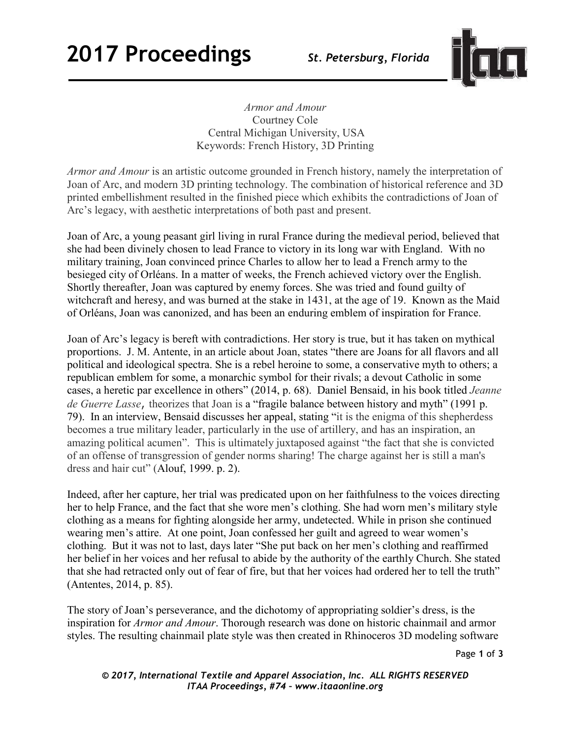## **2017 Proceedings** *St. Petersburg, Florida*



*Armor and Amour*  Courtney Cole Central Michigan University, USA Keywords: French History, 3D Printing

*Armor and Amour* is an artistic outcome grounded in French history, namely the interpretation of Joan of Arc, and modern 3D printing technology. The combination of historical reference and 3D printed embellishment resulted in the finished piece which exhibits the contradictions of Joan of Arc's legacy, with aesthetic interpretations of both past and present.

Joan of Arc, a young peasant girl living in rural France during the medieval period, believed that she had been divinely chosen to lead France to victory in its long war with England. With no military training, Joan convinced prince Charles to allow her to lead a French army to the besieged city of Orléans. In a matter of weeks, the French achieved victory over the English. Shortly thereafter, Joan was captured by enemy forces. She was tried and found guilty of witchcraft and heresy, and was burned at the stake in 1431, at the age of 19. Known as the Maid of Orléans, Joan was canonized, and has been an enduring emblem of inspiration for France.

Joan of Arc's legacy is bereft with contradictions. Her story is true, but it has taken on mythical proportions. J. M. Antente, in an article about Joan, states "there are Joans for all flavors and all political and ideological spectra. She is a rebel heroine to some, a conservative myth to others; a republican emblem for some, a monarchic symbol for their rivals; a devout Catholic in some cases, a heretic par excellence in others" (2014, p. 68). Daniel Bensaid, in his book titled *Jeanne de Guerre Lasse*, theorizes that Joan is a "fragile balance between history and myth" (1991 p. 79). In an interview, Bensaid discusses her appeal, stating "it is the enigma of this shepherdess becomes a true military leader, particularly in the use of artillery, and has an inspiration, an amazing political acumen". This is ultimately juxtaposed against "the fact that she is convicted of an offense of transgression of gender norms sharing! The charge against her is still a man's dress and hair cut" (Alouf, 1999. p. 2).

Indeed, after her capture, her trial was predicated upon on her faithfulness to the voices directing her to help France, and the fact that she wore men's clothing. She had worn men's military style clothing as a means for fighting alongside her army, undetected. While in prison she continued wearing men's attire. At one point, Joan confessed her guilt and agreed to wear women's clothing. But it was not to last, days later "She put back on her men's clothing and reaffirmed her belief in her voices and her refusal to abide by the authority of the earthly Church. She stated that she had retracted only out of fear of fire, but that her voices had ordered her to tell the truth" (Antentes, 2014, p. 85).

The story of Joan's perseverance, and the dichotomy of appropriating soldier's dress, is the inspiration for *Armor and Amour*. Thorough research was done on historic chainmail and armor styles. The resulting chainmail plate style was then created in Rhinoceros 3D modeling software

Page **1** of **3** 

*© 2017, International Textile and Apparel Association, Inc. ALL RIGHTS RESERVED ITAA Proceedings, #74 – www.itaaonline.org*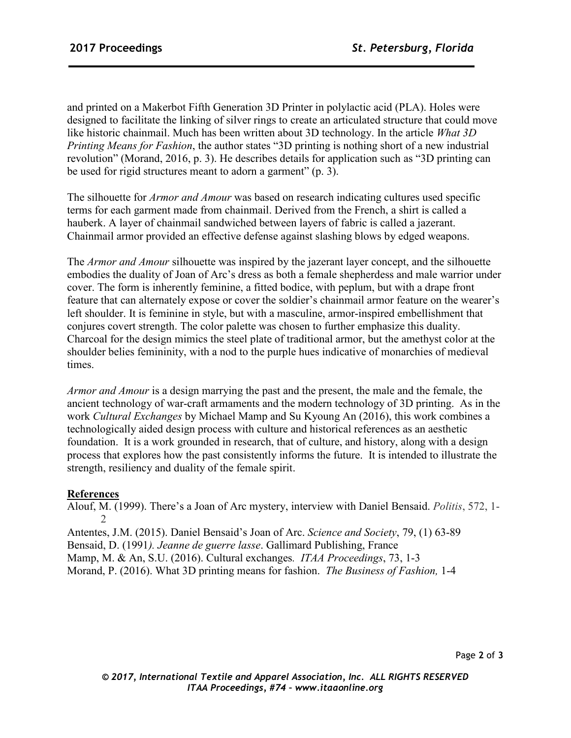and printed on a Makerbot Fifth Generation 3D Printer in polylactic acid (PLA). Holes were designed to facilitate the linking of silver rings to create an articulated structure that could move like historic chainmail. Much has been written about 3D technology. In the article *What 3D Printing Means for Fashion*, the author states "3D printing is nothing short of a new industrial revolution" (Morand, 2016, p. 3). He describes details for application such as "3D printing can be used for rigid structures meant to adorn a garment" (p. 3).

The silhouette for *Armor and Amour* was based on research indicating cultures used specific terms for each garment made from chainmail. Derived from the French, a shirt is called a hauberk. A layer of chainmail sandwiched between layers of fabric is called a jazerant. Chainmail armor provided an effective defense against slashing blows by edged weapons.

The *Armor and Amour* silhouette was inspired by the jazerant layer concept, and the silhouette embodies the duality of Joan of Arc's dress as both a female shepherdess and male warrior under cover. The form is inherently feminine, a fitted bodice, with peplum, but with a drape front feature that can alternately expose or cover the soldier's chainmail armor feature on the wearer's left shoulder. It is feminine in style, but with a masculine, armor-inspired embellishment that conjures covert strength. The color palette was chosen to further emphasize this duality. Charcoal for the design mimics the steel plate of traditional armor, but the amethyst color at the shoulder belies femininity, with a nod to the purple hues indicative of monarchies of medieval times.

*Armor and Amour* is a design marrying the past and the present, the male and the female, the ancient technology of war-craft armaments and the modern technology of 3D printing. As in the work *Cultural Exchanges* by Michael Mamp and Su Kyoung An (2016), this work combines a technologically aided design process with culture and historical references as an aesthetic foundation. It is a work grounded in research, that of culture, and history, along with a design process that explores how the past consistently informs the future. It is intended to illustrate the strength, resiliency and duality of the female spirit.

## **References**

Alouf, M. (1999). There's a Joan of Arc mystery, interview with Daniel Bensaid. *Politis*, 572, 1- 2

Antentes, J.M. (2015). Daniel Bensaid's Joan of Arc. *Science and Society*, 79, (1) 63-89 Bensaid, D. (1991*). Jeanne de guerre lasse*. Gallimard Publishing, France Mamp, M. & An, S.U. (2016). Cultural exchanges*. ITAA Proceedings*, 73, 1-3 Morand, P. (2016). What 3D printing means for fashion. *The Business of Fashion,* 1-4